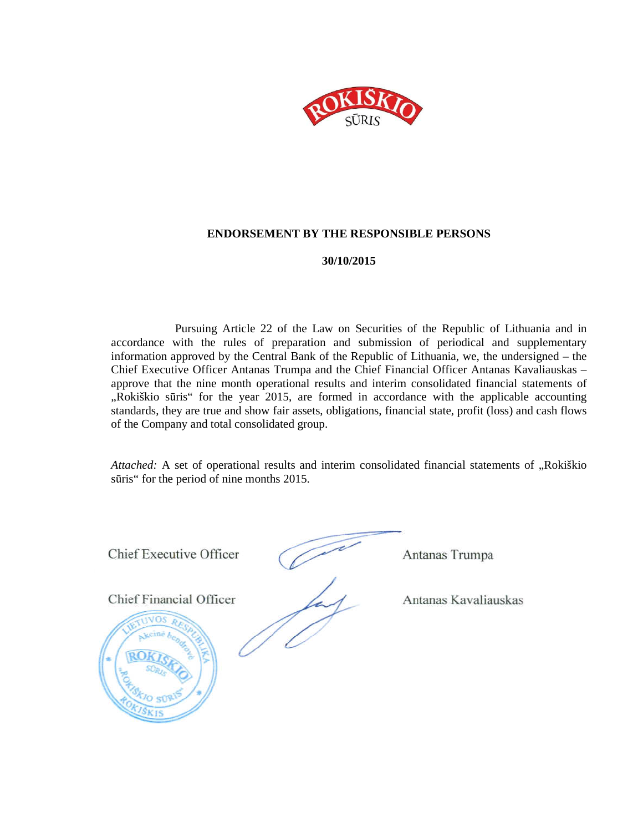

#### **ENDORSEMENT BY THE RESPONSIBLE PERSONS**

#### **30/10/2015**

Pursuing Article 22 of the Law on Securities of the Republic of Lithuania and in accordance with the rules of preparation and submission of periodical and supplementary information approved by the Central Bank of the Republic of Lithuania, we, the undersigned – the Chief Executive Officer Antanas Trumpa and the Chief Financial Officer Antanas Kavaliauskas – approve that the nine month operational results and interim consolidated financial statements of "Rokiškio sūris" for the year 2015, are formed in accordance with the applicable accounting standards, they are true and show fair assets, obligations, financial state, profit (loss) and cash flows of the Company and total consolidated group.

*Attached:* A set of operational results and interim consolidated financial statements of "Rokiškio sūris" for the period of nine months 2015.

Chief Executive Officer (Antanas Trumpa

Chief Financial Officer Antanas Kavaliauskas

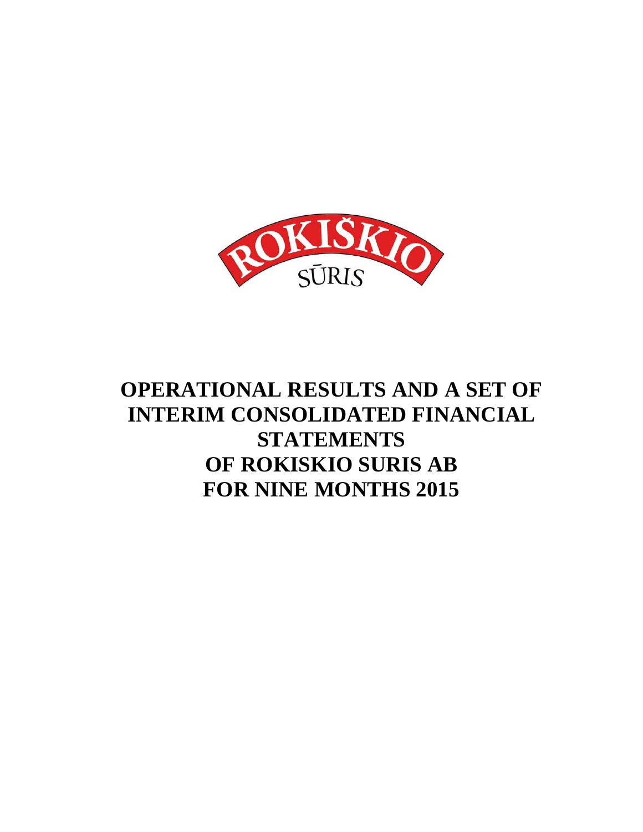

# **OPERATIONAL RESULTS AND A SET OF INTERIM CONSOLIDATED FINANCIAL STATEMENTS OF ROKISKIO SURIS AB FOR NINE MONTHS 2015**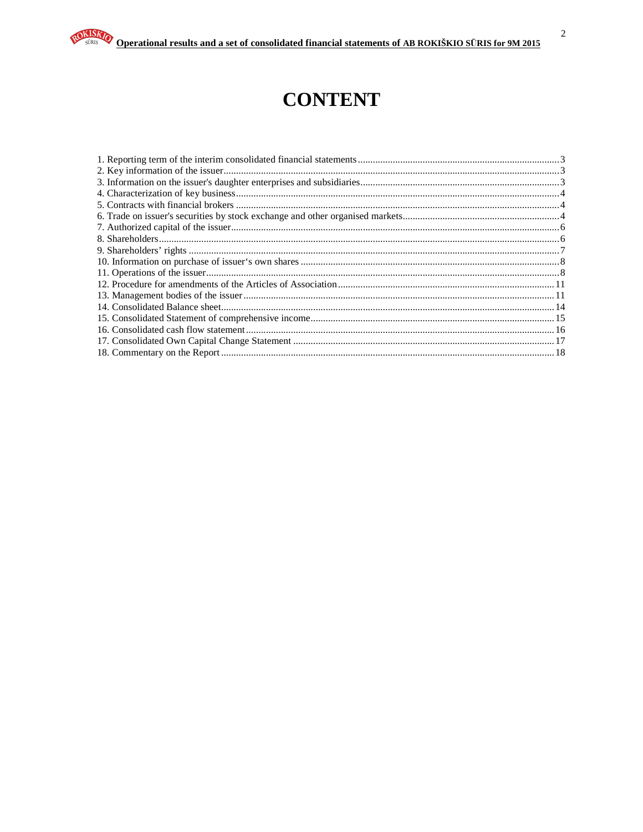# **CONTENT**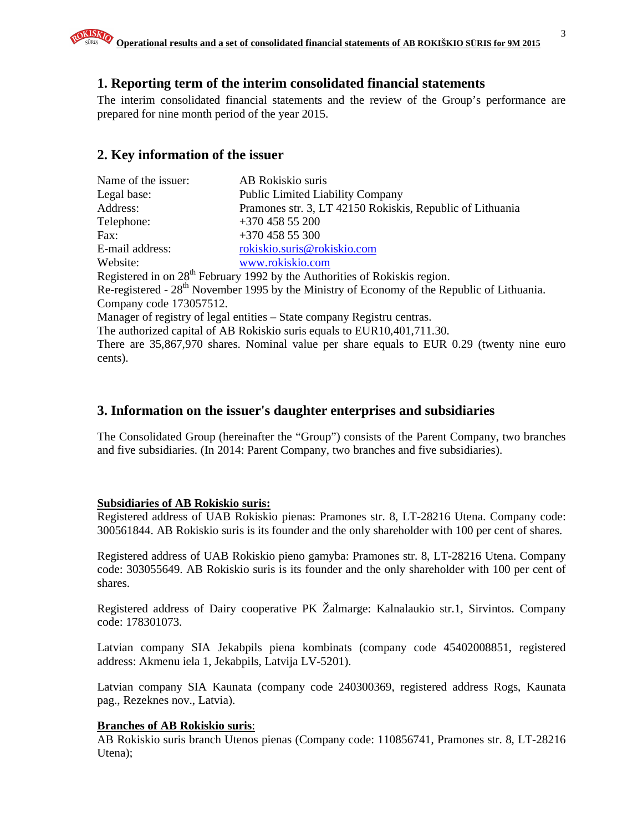## **1. Reporting term of the interim consolidated financial statements**

The interim consolidated financial statements and the review of the Group's performance are prepared for nine month period of the year 2015.

# **2. Key information of the issuer**

| Name of the issuer:     | AB Rokiskio suris                                                                                       |
|-------------------------|---------------------------------------------------------------------------------------------------------|
| Legal base:             | <b>Public Limited Liability Company</b>                                                                 |
| Address:                | Pramones str. 3, LT 42150 Rokiskis, Republic of Lithuania                                               |
| Telephone:              | $+37045855200$                                                                                          |
| Fax:                    | $+37045855300$                                                                                          |
| E-mail address:         | rokiskio.suris@rokiskio.com                                                                             |
| Website:                | www.rokiskio.com                                                                                        |
|                         | Registered in on 28 <sup>th</sup> February 1992 by the Authorities of Rokiskis region.                  |
|                         | Re-registered - 28 <sup>th</sup> November 1995 by the Ministry of Economy of the Republic of Lithuania. |
| Company code 173057512. |                                                                                                         |
|                         | Manager of registry of legal entities – State company Registru centras.                                 |
|                         | The authorized capital of AB Rokiskio suris equals to EUR10,401,711.30.                                 |
|                         | There are 35,867,970 shares. Nominal value per share equals to EUR 0.29 (twenty nine euro               |
| cents).                 |                                                                                                         |

## **3. Information on the issuer's daughter enterprises and subsidiaries**

The Consolidated Group (hereinafter the "Group") consists of the Parent Company, two branches and five subsidiaries. (In 2014: Parent Company, two branches and five subsidiaries).

## **Subsidiaries of AB Rokiskio suris:**

Registered address of UAB Rokiskio pienas: Pramones str. 8, LT-28216 Utena. Company code: 300561844. AB Rokiskio suris is its founder and the only shareholder with 100 per cent of shares.

Registered address of UAB Rokiskio pieno gamyba: Pramones str. 8, LT-28216 Utena. Company code: 303055649. AB Rokiskio suris is its founder and the only shareholder with 100 per cent of shares.

Registered address of Dairy cooperative PK Žalmarge: Kalnalaukio str.1, Sirvintos. Company code: 178301073.

Latvian company SIA Jekabpils piena kombinats (company code 45402008851, registered address: Akmenu iela 1, Jekabpils, Latvija LV-5201).

Latvian company SIA Kaunata (company code 240300369, registered address Rogs, Kaunata pag., Rezeknes nov., Latvia).

## **Branches of AB Rokiskio suris**:

AB Rokiskio suris branch Utenos pienas (Company code: 110856741, Pramones str. 8, LT-28216 Utena);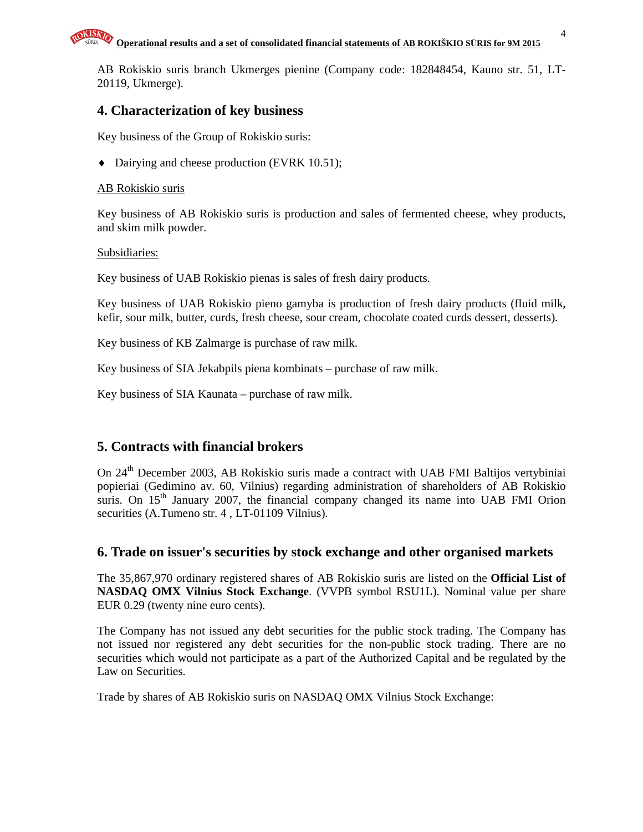AB Rokiskio suris branch Ukmerges pienine (Company code: 182848454, Kauno str. 51, LT-20119, Ukmerge).

## **4. Characterization of key business**

Key business of the Group of Rokiskio suris:

♦ Dairying and cheese production (EVRK 10.51);

## AB Rokiskio suris

Key business of AB Rokiskio suris is production and sales of fermented cheese, whey products, and skim milk powder.

## Subsidiaries:

Key business of UAB Rokiskio pienas is sales of fresh dairy products.

Key business of UAB Rokiskio pieno gamyba is production of fresh dairy products (fluid milk, kefir, sour milk, butter, curds, fresh cheese, sour cream, chocolate coated curds dessert, desserts).

Key business of KB Zalmarge is purchase of raw milk.

Key business of SIA Jekabpils piena kombinats – purchase of raw milk.

Key business of SIA Kaunata – purchase of raw milk.

# **5. Contracts with financial brokers**

On 24<sup>th</sup> December 2003, AB Rokiskio suris made a contract with UAB FMI Baltijos vertybiniai popieriai (Gedimino av. 60, Vilnius) regarding administration of shareholders of AB Rokiskio suris. On  $15<sup>th</sup>$  January 2007, the financial company changed its name into UAB FMI Orion securities (A.Tumeno str. 4 , LT-01109 Vilnius).

## **6. Trade on issuer's securities by stock exchange and other organised markets**

The 35,867,970 ordinary registered shares of AB Rokiskio suris are listed on the **Official List of NASDAQ OMX Vilnius Stock Exchange**. (VVPB symbol RSU1L). Nominal value per share EUR 0.29 (twenty nine euro cents).

The Company has not issued any debt securities for the public stock trading. The Company has not issued nor registered any debt securities for the non-public stock trading. There are no securities which would not participate as a part of the Authorized Capital and be regulated by the Law on Securities.

Trade by shares of AB Rokiskio suris on NASDAQ OMX Vilnius Stock Exchange: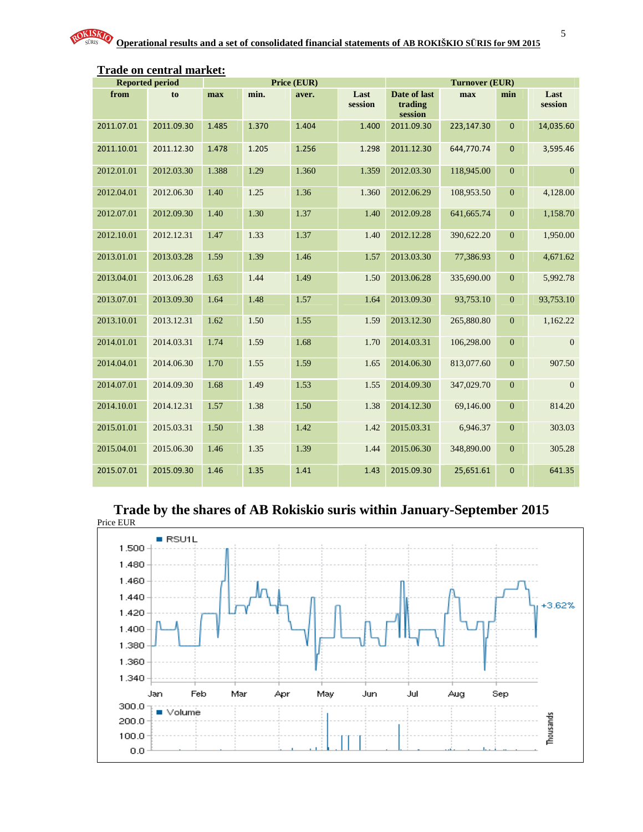|                          | <b>Reported period</b>   |              | Price (EUR)  |              |                 | <b>Turnover (EUR)</b>              |                          |                                  |                            |
|--------------------------|--------------------------|--------------|--------------|--------------|-----------------|------------------------------------|--------------------------|----------------------------------|----------------------------|
| from                     | to                       | max          | min.         | aver.        | Last<br>session | Date of last<br>trading<br>session | max                      | min                              | Last<br>session            |
| 2011.07.01               | 2011.09.30               | 1.485        | 1.370        | 1.404        | 1.400           | 2011.09.30                         | 223,147.30               | $\mathbf{0}$                     | 14,035.60                  |
| 2011.10.01               | 2011.12.30               | 1.478        | 1.205        | 1.256        | 1.298           | 2011.12.30                         | 644,770.74               | $\mathbf 0$                      | 3,595.46                   |
| 2012.01.01               | 2012.03.30               | 1.388        | 1.29         | 1.360        | 1.359           | 2012.03.30                         | 118,945.00               | $\overline{0}$                   | $\Omega$                   |
| 2012.04.01               | 2012.06.30               | 1.40         | 1.25         | 1.36         | 1.360           | 2012.06.29                         | 108,953.50               | $\boldsymbol{0}$                 | 4,128.00                   |
| 2012.07.01               | 2012.09.30               | 1.40         | 1.30         | 1.37         | 1.40            | 2012.09.28                         | 641,665.74               | $\boldsymbol{0}$                 | 1,158.70                   |
| 2012.10.01               | 2012.12.31               | 1.47         | 1.33         | 1.37         | 1.40            | 2012.12.28                         | 390,622.20               | $\boldsymbol{0}$                 | 1,950.00                   |
| 2013.01.01               | 2013.03.28               | 1.59         | 1.39         | 1.46         | 1.57            | 2013.03.30                         | 77,386.93                | $\overline{0}$                   | 4,671.62                   |
| 2013.04.01               | 2013.06.28               | 1.63         | 1.44         | 1.49         | 1.50            | 2013.06.28                         | 335,690.00               | $\overline{0}$                   | 5,992.78                   |
| 2013.07.01               | 2013.09.30               | 1.64         | 1.48         | 1.57         | 1.64            | 2013.09.30                         | 93,753.10                | $\overline{0}$                   | 93,753.10                  |
| 2013.10.01               | 2013.12.31               | 1.62<br>1.74 | 1.50<br>1.59 | 1.55<br>1.68 | 1.59<br>1.70    | 2013.12.30                         | 265,880.80               | $\overline{0}$<br>$\overline{0}$ | 1,162.22<br>$\overline{0}$ |
| 2014.01.01<br>2014.04.01 | 2014.03.31<br>2014.06.30 | 1.70         | 1.55         | 1.59         | 1.65            | 2014.03.31<br>2014.06.30           | 106,298.00<br>813,077.60 | $\overline{0}$                   | 907.50                     |
| 2014.07.01               | 2014.09.30               | 1.68         | 1.49         | 1.53         | 1.55            | 2014.09.30                         | 347,029.70               | $\overline{0}$                   | $\overline{0}$             |
| 2014.10.01               | 2014.12.31               | 1.57         | 1.38         | 1.50         | 1.38            | 2014.12.30                         | 69,146.00                | $\overline{0}$                   | 814.20                     |
| 2015.01.01               | 2015.03.31               | 1.50         | 1.38         | 1.42         | 1.42            | 2015.03.31                         | 6,946.37                 | $\boldsymbol{0}$                 | 303.03                     |
| 2015.04.01               | 2015.06.30               | 1.46         | 1.35         | 1.39         | 1.44            | 2015.06.30                         | 348,890.00               | $\overline{0}$                   | 305.28                     |
| 2015.07.01               | 2015.09.30               | 1.46         | 1.35         | 1.41         | 1.43            | 2015.09.30                         | 25,651.61                | $\mathbf 0$                      | 641.35                     |
|                          |                          |              |              |              |                 |                                    |                          |                                  |                            |

# **Trade on central market:**

**Trade by the shares of AB Rokiskio suris within January-September 2015** 

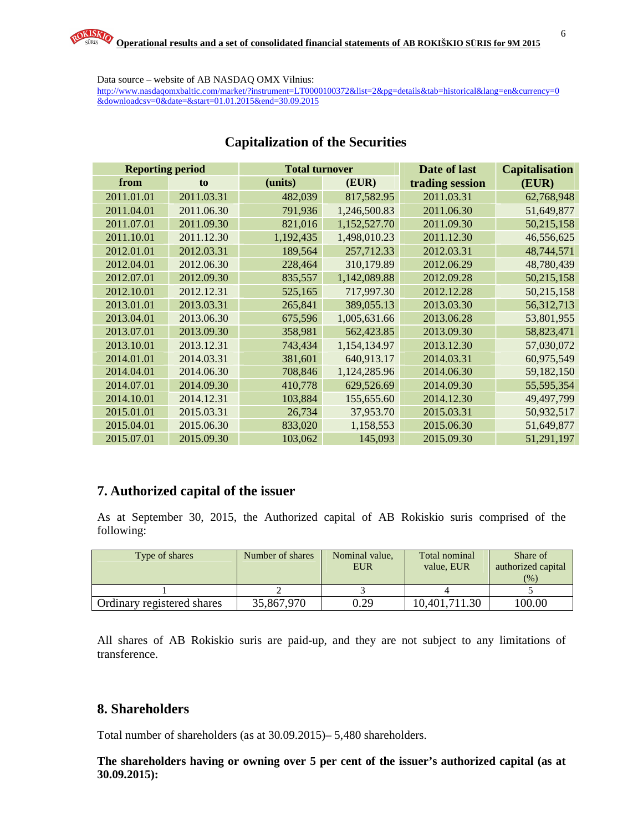Data source – website of AB NASDAQ OMX Vilnius: http://www.nasdaqomxbaltic.com/market/?instrument=LT0000100372&list=2&pg=details&tab=historical&lang=en&currency=0 &downloadcsv=0&date=&start=01.01.2015&end=30.09.2015

| <b>Reporting period</b> |                | <b>Total turnover</b> |              | Date of last    | <b>Capitalisation</b> |
|-------------------------|----------------|-----------------------|--------------|-----------------|-----------------------|
| from                    | t <sub>0</sub> | (units)               | (EUR)        | trading session | (EUR)                 |
| 2011.01.01              | 2011.03.31     | 482,039               | 817,582.95   | 2011.03.31      | 62,768,948            |
| 2011.04.01              | 2011.06.30     | 791,936               | 1,246,500.83 | 2011.06.30      | 51,649,877            |
| 2011.07.01              | 2011.09.30     | 821,016               | 1,152,527.70 | 2011.09.30      | 50,215,158            |
| 2011.10.01              | 2011.12.30     | 1,192,435             | 1,498,010.23 | 2011.12.30      | 46,556,625            |
| 2012.01.01              | 2012.03.31     | 189,564               | 257,712.33   | 2012.03.31      | 48,744,571            |
| 2012.04.01              | 2012.06.30     | 228,464               | 310,179.89   | 2012.06.29      | 48,780,439            |
| 2012.07.01              | 2012.09.30     | 835,557               | 1,142,089.88 | 2012.09.28      | 50,215,158            |
| 2012.10.01              | 2012.12.31     | 525,165               | 717,997.30   | 2012.12.28      | 50,215,158            |
| 2013.01.01              | 2013.03.31     | 265,841               | 389,055.13   | 2013.03.30      | 56,312,713            |
| 2013.04.01              | 2013.06.30     | 675,596               | 1,005,631.66 | 2013.06.28      | 53,801,955            |
| 2013.07.01              | 2013.09.30     | 358,981               | 562,423.85   | 2013.09.30      | 58,823,471            |
| 2013.10.01              | 2013.12.31     | 743,434               | 1,154,134.97 | 2013.12.30      | 57,030,072            |
| 2014.01.01              | 2014.03.31     | 381,601               | 640,913.17   | 2014.03.31      | 60,975,549            |
| 2014.04.01              | 2014.06.30     | 708,846               | 1,124,285.96 | 2014.06.30      | 59,182,150            |
| 2014.07.01              | 2014.09.30     | 410,778               | 629,526.69   | 2014.09.30      | 55,595,354            |
| 2014.10.01              | 2014.12.31     | 103,884               | 155,655.60   | 2014.12.30      | 49,497,799            |
| 2015.01.01              | 2015.03.31     | 26,734                | 37,953.70    | 2015.03.31      | 50,932,517            |
| 2015.04.01              | 2015.06.30     | 833,020               | 1,158,553    | 2015.06.30      | 51,649,877            |
| 2015.07.01              | 2015.09.30     | 103,062               | 145,093      | 2015.09.30      | 51,291,197            |

## **Capitalization of the Securities**

# **7. Authorized capital of the issuer**

As at September 30, 2015, the Authorized capital of AB Rokiskio suris comprised of the following:

| Type of shares             | Number of shares | Nominal value,<br><b>EUR</b> | Total nominal<br>value, EUR | Share of<br>authorized capital<br>(%) |
|----------------------------|------------------|------------------------------|-----------------------------|---------------------------------------|
|                            |                  |                              |                             |                                       |
| Ordinary registered shares | 35,867,970       | 0.29                         | 10,401,711.30               | 100.00                                |

All shares of AB Rokiskio suris are paid-up, and they are not subject to any limitations of transference.

# **8. Shareholders**

Total number of shareholders (as at 30.09.2015)– 5,480 shareholders.

**The shareholders having or owning over 5 per cent of the issuer's authorized capital (as at 30.09.2015):**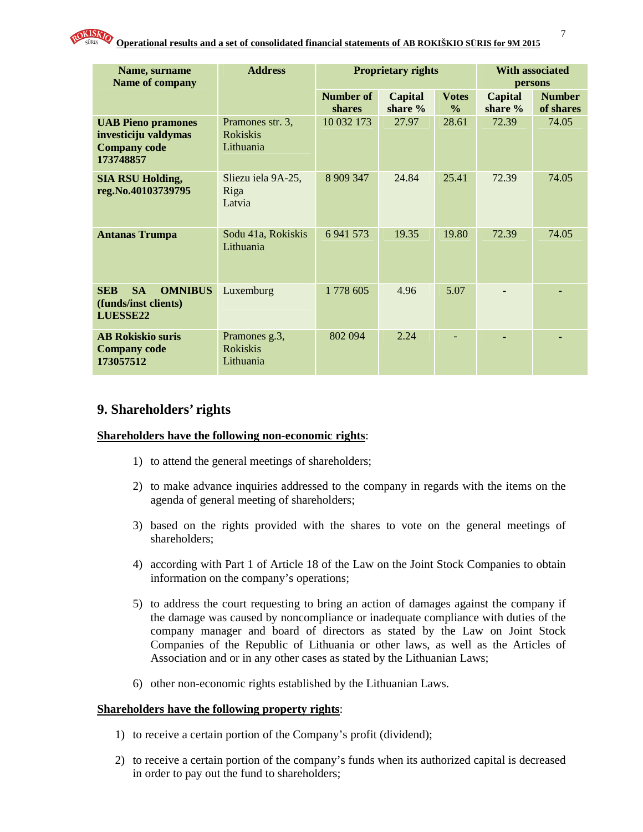

| Name, surname<br>Name of company                                                      | <b>Address</b>                                   |                            | <b>Proprietary rights</b>   | <b>With associated</b><br>persons |                             |                            |
|---------------------------------------------------------------------------------------|--------------------------------------------------|----------------------------|-----------------------------|-----------------------------------|-----------------------------|----------------------------|
|                                                                                       |                                                  | Number of<br><b>shares</b> | <b>Capital</b><br>share $%$ | <b>Votes</b><br>$\frac{6}{6}$     | <b>Capital</b><br>share $%$ | <b>Number</b><br>of shares |
| <b>UAB Pieno pramones</b><br>investiciju valdymas<br><b>Company code</b><br>173748857 | Pramones str. 3,<br><b>Rokiskis</b><br>Lithuania | 10 032 173                 | 27.97                       | 28.61                             | 72.39                       | 74.05                      |
| <b>SIA RSU Holding,</b><br>reg.No.40103739795                                         | Sliezu iela 9A-25,<br>Riga<br>Latvia             | 8 909 347                  | 24.84                       | 25.41                             | 72.39                       | 74.05                      |
| <b>Antanas Trumpa</b>                                                                 | Sodu 41a, Rokiskis<br>Lithuania                  | 6 941 573                  | 19.35                       | 19.80                             | 72.39                       | 74.05                      |
| <b>SA</b><br><b>OMNIBUS</b><br><b>SEB</b><br>(funds/inst clients)<br>LUESSE22         | Luxemburg                                        | 1778 605                   | 4.96                        | 5.07                              |                             |                            |
| <b>AB Rokiskio suris</b><br><b>Company code</b><br>173057512                          | Pramones g.3,<br><b>Rokiskis</b><br>Lithuania    | 802 094                    | 2.24                        |                                   | $\blacksquare$              |                            |

## **9. Shareholders' rights**

#### **Shareholders have the following non-economic rights**:

- 1) to attend the general meetings of shareholders;
- 2) to make advance inquiries addressed to the company in regards with the items on the agenda of general meeting of shareholders;
- 3) based on the rights provided with the shares to vote on the general meetings of shareholders;
- 4) according with Part 1 of Article 18 of the Law on the Joint Stock Companies to obtain information on the company's operations;
- 5) to address the court requesting to bring an action of damages against the company if the damage was caused by noncompliance or inadequate compliance with duties of the company manager and board of directors as stated by the Law on Joint Stock Companies of the Republic of Lithuania or other laws, as well as the Articles of Association and or in any other cases as stated by the Lithuanian Laws;
- 6) other non-economic rights established by the Lithuanian Laws.

#### **Shareholders have the following property rights**:

- 1) to receive a certain portion of the Company's profit (dividend);
- 2) to receive a certain portion of the company's funds when its authorized capital is decreased in order to pay out the fund to shareholders;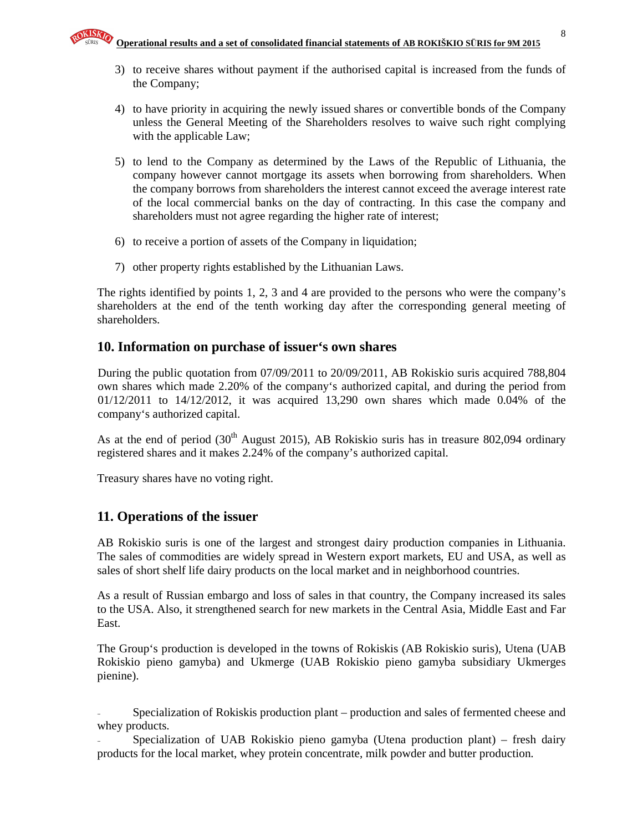- 3) to receive shares without payment if the authorised capital is increased from the funds of the Company;
- 4) to have priority in acquiring the newly issued shares or convertible bonds of the Company unless the General Meeting of the Shareholders resolves to waive such right complying with the applicable Law;
- 5) to lend to the Company as determined by the Laws of the Republic of Lithuania, the company however cannot mortgage its assets when borrowing from shareholders. When the company borrows from shareholders the interest cannot exceed the average interest rate of the local commercial banks on the day of contracting. In this case the company and shareholders must not agree regarding the higher rate of interest;
- 6) to receive a portion of assets of the Company in liquidation;
- 7) other property rights established by the Lithuanian Laws.

The rights identified by points 1, 2, 3 and 4 are provided to the persons who were the company's shareholders at the end of the tenth working day after the corresponding general meeting of shareholders.

## **10. Information on purchase of issuer's own shares**

During the public quotation from 07/09/2011 to 20/09/2011, AB Rokiskio suris acquired 788,804 own shares which made 2.20% of the company's authorized capital, and during the period from 01/12/2011 to 14/12/2012, it was acquired 13,290 own shares which made 0.04% of the company's authorized capital.

As at the end of period  $(30<sup>th</sup>$  August 2015), AB Rokiskio suris has in treasure 802,094 ordinary registered shares and it makes 2.24% of the company's authorized capital.

Treasury shares have no voting right.

# **11. Operations of the issuer**

AB Rokiskio suris is one of the largest and strongest dairy production companies in Lithuania. The sales of commodities are widely spread in Western export markets, EU and USA, as well as sales of short shelf life dairy products on the local market and in neighborhood countries.

As a result of Russian embargo and loss of sales in that country, the Company increased its sales to the USA. Also, it strengthened search for new markets in the Central Asia, Middle East and Far East.

The Group's production is developed in the towns of Rokiskis (AB Rokiskio suris), Utena (UAB Rokiskio pieno gamyba) and Ukmerge (UAB Rokiskio pieno gamyba subsidiary Ukmerges pienine).

- Specialization of Rokiskis production plant – production and sales of fermented cheese and whey products.

Specialization of UAB Rokiskio pieno gamyba (Utena production plant) – fresh dairy products for the local market, whey protein concentrate, milk powder and butter production.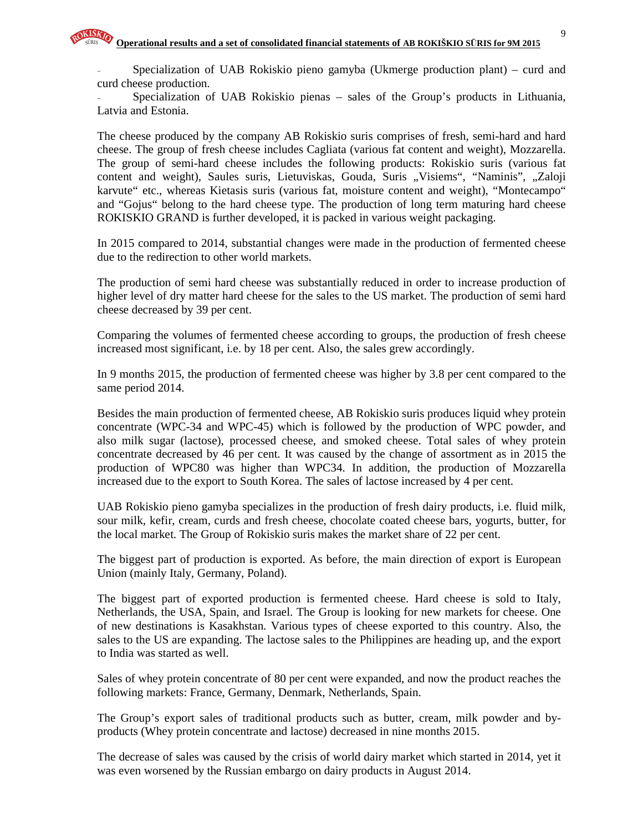9

Specialization of UAB Rokiskio pieno gamyba (Ukmerge production plant) – curd and curd cheese production.

Specialization of UAB Rokiskio pienas - sales of the Group's products in Lithuania, Latvia and Estonia.

The cheese produced by the company AB Rokiskio suris comprises of fresh, semi-hard and hard cheese. The group of fresh cheese includes Cagliata (various fat content and weight), Mozzarella. The group of semi-hard cheese includes the following products: Rokiskio suris (various fat content and weight), Saules suris, Lietuviskas, Gouda, Suris "Visiems", "Naminis", "Zaloji karvute" etc., whereas Kietasis suris (various fat, moisture content and weight), "Montecampo" and "Gojus" belong to the hard cheese type. The production of long term maturing hard cheese ROKISKIO GRAND is further developed, it is packed in various weight packaging.

In 2015 compared to 2014, substantial changes were made in the production of fermented cheese due to the redirection to other world markets.

The production of semi hard cheese was substantially reduced in order to increase production of higher level of dry matter hard cheese for the sales to the US market. The production of semi hard cheese decreased by 39 per cent.

Comparing the volumes of fermented cheese according to groups, the production of fresh cheese increased most significant, i.e. by 18 per cent. Also, the sales grew accordingly.

In 9 months 2015, the production of fermented cheese was higher by 3.8 per cent compared to the same period 2014.

Besides the main production of fermented cheese, AB Rokiskio suris produces liquid whey protein concentrate (WPC-34 and WPC-45) which is followed by the production of WPC powder, and also milk sugar (lactose), processed cheese, and smoked cheese. Total sales of whey protein concentrate decreased by 46 per cent. It was caused by the change of assortment as in 2015 the production of WPC80 was higher than WPC34. In addition, the production of Mozzarella increased due to the export to South Korea. The sales of lactose increased by 4 per cent.

UAB Rokiskio pieno gamyba specializes in the production of fresh dairy products, i.e. fluid milk, sour milk, kefir, cream, curds and fresh cheese, chocolate coated cheese bars, yogurts, butter, for the local market. The Group of Rokiskio suris makes the market share of 22 per cent.

The biggest part of production is exported. As before, the main direction of export is European Union (mainly Italy, Germany, Poland).

The biggest part of exported production is fermented cheese. Hard cheese is sold to Italy, Netherlands, the USA, Spain, and Israel. The Group is looking for new markets for cheese. One of new destinations is Kasakhstan. Various types of cheese exported to this country. Also, the sales to the US are expanding. The lactose sales to the Philippines are heading up, and the export to India was started as well.

Sales of whey protein concentrate of 80 per cent were expanded, and now the product reaches the following markets: France, Germany, Denmark, Netherlands, Spain.

The Group's export sales of traditional products such as butter, cream, milk powder and byproducts (Whey protein concentrate and lactose) decreased in nine months 2015.

The decrease of sales was caused by the crisis of world dairy market which started in 2014, yet it was even worsened by the Russian embargo on dairy products in August 2014.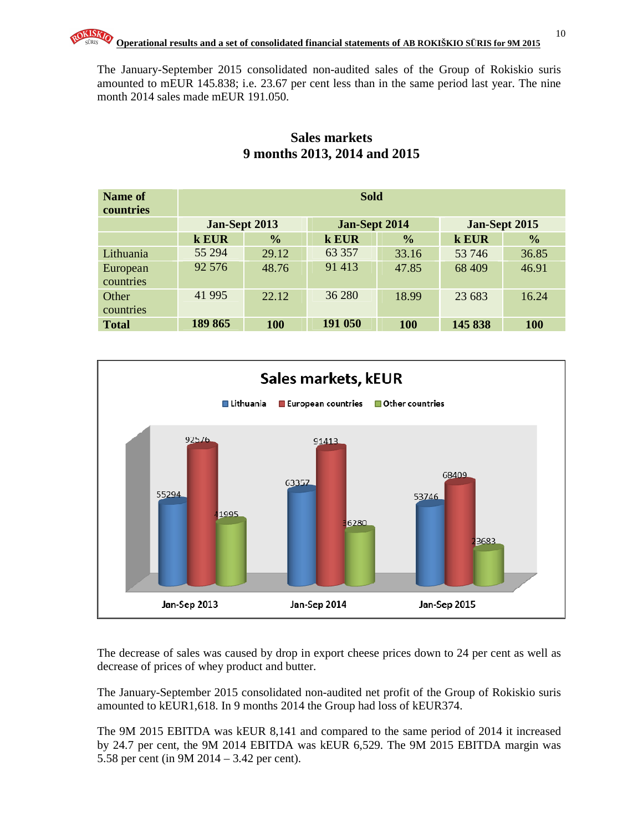The January-September 2015 consolidated non-audited sales of the Group of Rokiskio suris amounted to mEUR 145.838; i.e. 23.67 per cent less than in the same period last year. The nine month 2014 sales made mEUR 191.050.

| Name of<br>countries | <b>Sold</b> |                                |         |               |               |               |  |  |
|----------------------|-------------|--------------------------------|---------|---------------|---------------|---------------|--|--|
|                      |             | Jan-Sept 2013<br>Jan-Sept 2014 |         |               | Jan-Sept 2015 |               |  |  |
|                      | k EUR       | $\frac{0}{0}$                  | k EUR   | $\frac{0}{0}$ | k EUR         | $\frac{0}{0}$ |  |  |
| Lithuania            | 55 294      | 29.12                          | 63 357  | 33.16         | 53 746        | 36.85         |  |  |
| European             | 92 576      | 48.76                          | 91 413  | 47.85         | 68 409        | 46.91         |  |  |
| countries            |             |                                |         |               |               |               |  |  |
| Other                | 41 9 95     | 22.12                          | 36 280  | 18.99         | 23 683        | 16.24         |  |  |
| countries            |             |                                |         |               |               |               |  |  |
| <b>Total</b>         | 189 865     | <b>100</b>                     | 191 050 | <b>100</b>    | 145 838       | <b>100</b>    |  |  |

## **Sales markets 9 months 2013, 2014 and 2015**



The decrease of sales was caused by drop in export cheese prices down to 24 per cent as well as decrease of prices of whey product and butter.

The January-September 2015 consolidated non-audited net profit of the Group of Rokiskio suris amounted to kEUR1,618. In 9 months 2014 the Group had loss of kEUR374.

The 9M 2015 EBITDA was kEUR 8,141 and compared to the same period of 2014 it increased by 24.7 per cent, the 9M 2014 EBITDA was kEUR 6,529. The 9M 2015 EBITDA margin was 5.58 per cent (in 9M 2014 – 3.42 per cent).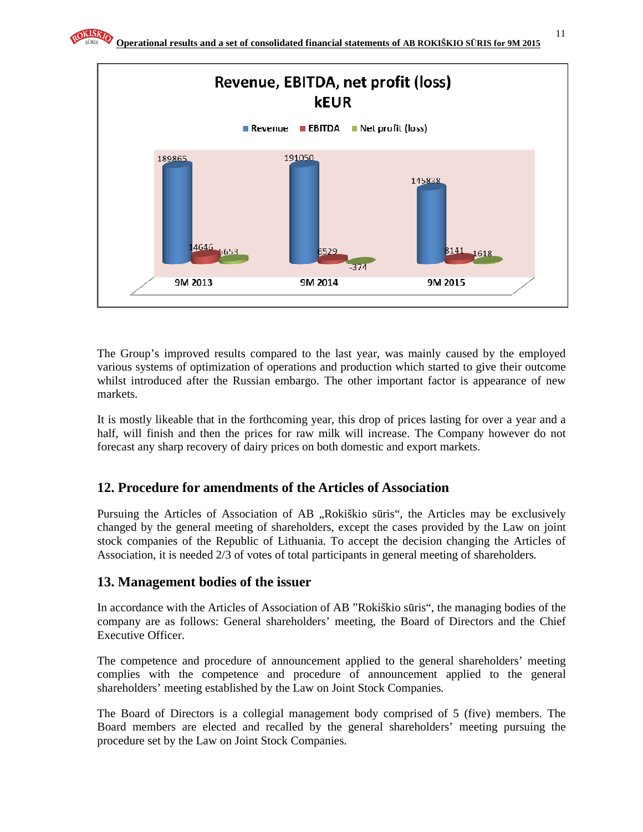

The Group's improved results compared to the last year, was mainly caused by the employed various systems of optimization of operations and production which started to give their outcome whilst introduced after the Russian embargo. The other important factor is appearance of new markets.

It is mostly likeable that in the forthcoming year, this drop of prices lasting for over a year and a half, will finish and then the prices for raw milk will increase. The Company however do not forecast any sharp recovery of dairy prices on both domestic and export markets.

# **12. Procedure for amendments of the Articles of Association**

Pursuing the Articles of Association of AB "Rokiškio sūris", the Articles may be exclusively changed by the general meeting of shareholders, except the cases provided by the Law on joint stock companies of the Republic of Lithuania. To accept the decision changing the Articles of Association, it is needed 2/3 of votes of total participants in general meeting of shareholders.

# **13. Management bodies of the issuer**

In accordance with the Articles of Association of AB "Rokiškio sūris", the managing bodies of the company are as follows: General shareholders' meeting, the Board of Directors and the Chief Executive Officer.

The competence and procedure of announcement applied to the general shareholders' meeting complies with the competence and procedure of announcement applied to the general shareholders' meeting established by the Law on Joint Stock Companies.

The Board of Directors is a collegial management body comprised of 5 (five) members. The Board members are elected and recalled by the general shareholders' meeting pursuing the procedure set by the Law on Joint Stock Companies.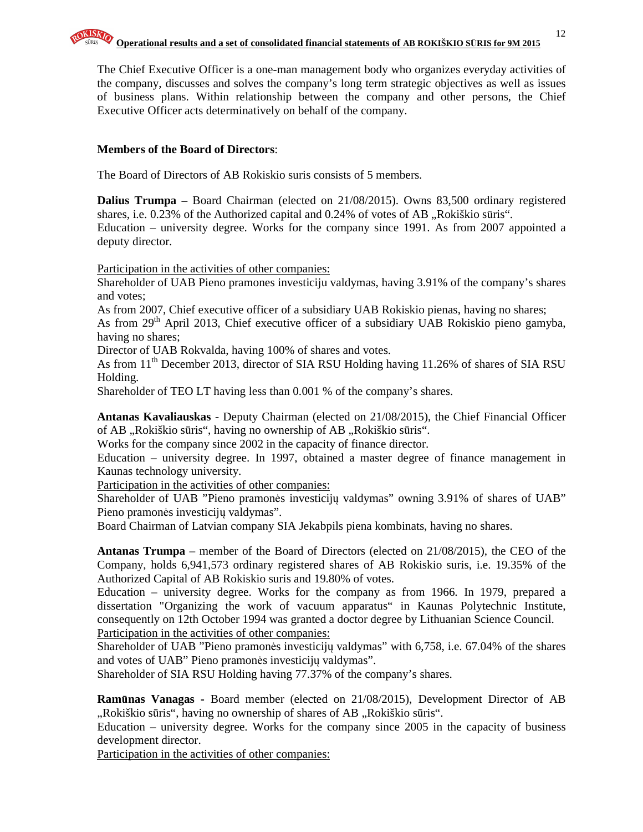The Chief Executive Officer is a one-man management body who organizes everyday activities of the company, discusses and solves the company's long term strategic objectives as well as issues of business plans. Within relationship between the company and other persons, the Chief Executive Officer acts determinatively on behalf of the company.

## **Members of the Board of Directors**:

The Board of Directors of AB Rokiskio suris consists of 5 members.

**Dalius Trumpa** – Board Chairman (elected on 21/08/2015). Owns 83,500 ordinary registered shares, i.e.  $0.23\%$  of the Authorized capital and  $0.24\%$  of votes of AB  $\alpha$ , Rokiškio sūris". Education – university degree. Works for the company since 1991. As from 2007 appointed a deputy director.

Participation in the activities of other companies:

Shareholder of UAB Pieno pramones investiciju valdymas, having 3.91% of the company's shares and votes;

As from 2007, Chief executive officer of a subsidiary UAB Rokiskio pienas, having no shares;

As from 29<sup>th</sup> April 2013, Chief executive officer of a subsidiary UAB Rokiskio pieno gamyba, having no shares;

Director of UAB Rokvalda, having 100% of shares and votes.

As from 11<sup>th</sup> December 2013, director of SIA RSU Holding having 11.26% of shares of SIA RSU Holding.

Shareholder of TEO LT having less than 0.001 % of the company's shares.

**Antanas Kavaliauskas** - Deputy Chairman (elected on 21/08/2015), the Chief Financial Officer of AB "Rokiškio sūris", having no ownership of AB "Rokiškio sūris".

Works for the company since 2002 in the capacity of finance director.

Education – university degree. In 1997, obtained a master degree of finance management in Kaunas technology university.

Participation in the activities of other companies:

Shareholder of UAB "Pieno pramonės investicijų valdymas" owning 3.91% of shares of UAB" Pieno pramonės investicijų valdymas".

Board Chairman of Latvian company SIA Jekabpils piena kombinats, having no shares.

**Antanas Trumpa** – member of the Board of Directors (elected on 21/08/2015), the CEO of the Company, holds 6,941,573 ordinary registered shares of AB Rokiskio suris, i.e. 19.35% of the Authorized Capital of AB Rokiskio suris and 19.80% of votes.

Education – university degree. Works for the company as from 1966. In 1979, prepared a dissertation "Organizing the work of vacuum apparatus" in Kaunas Polytechnic Institute, consequently on 12th October 1994 was granted a doctor degree by Lithuanian Science Council. Participation in the activities of other companies:

Shareholder of UAB "Pieno pramonės investicijų valdymas" with 6,758, i.e. 67.04% of the shares and votes of UAB" Pieno pramonės investicijų valdymas".

Shareholder of SIA RSU Holding having 77.37% of the company's shares.

**Ram**ū**nas Vanagas -** Board member (elected on 21/08/2015), Development Director of AB ",Rokiškio sūris", having no ownership of shares of AB "Rokiškio sūris".

Education – university degree. Works for the company since 2005 in the capacity of business development director.

Participation in the activities of other companies: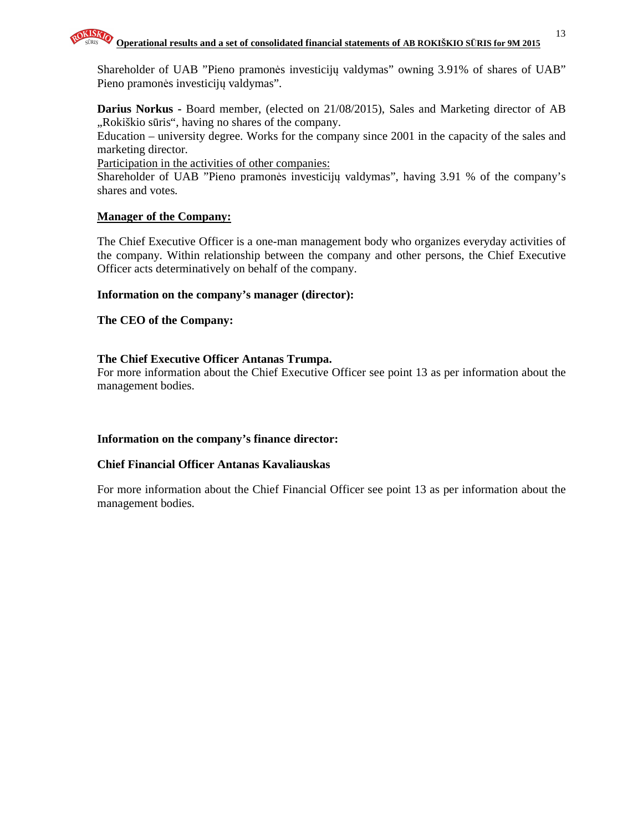

Shareholder of UAB "Pieno pramonės investicijų valdymas" owning 3.91% of shares of UAB" Pieno pramonės investicijų valdymas".

**Darius Norkus - Board member, (elected on 21/08/2015), Sales and Marketing director of AB** "Rokiškio sūris", having no shares of the company.

Education – university degree. Works for the company since 2001 in the capacity of the sales and marketing director.

Participation in the activities of other companies:

Shareholder of UAB "Pieno pramonės investicijų valdymas", having 3.91 % of the company's shares and votes.

#### **Manager of the Company:**

The Chief Executive Officer is a one-man management body who organizes everyday activities of the company. Within relationship between the company and other persons, the Chief Executive Officer acts determinatively on behalf of the company.

#### **Information on the company's manager (director):**

**The CEO of the Company:** 

#### **The Chief Executive Officer Antanas Trumpa.**

For more information about the Chief Executive Officer see point 13 as per information about the management bodies.

## **Information on the company's finance director:**

#### **Chief Financial Officer Antanas Kavaliauskas**

For more information about the Chief Financial Officer see point 13 as per information about the management bodies.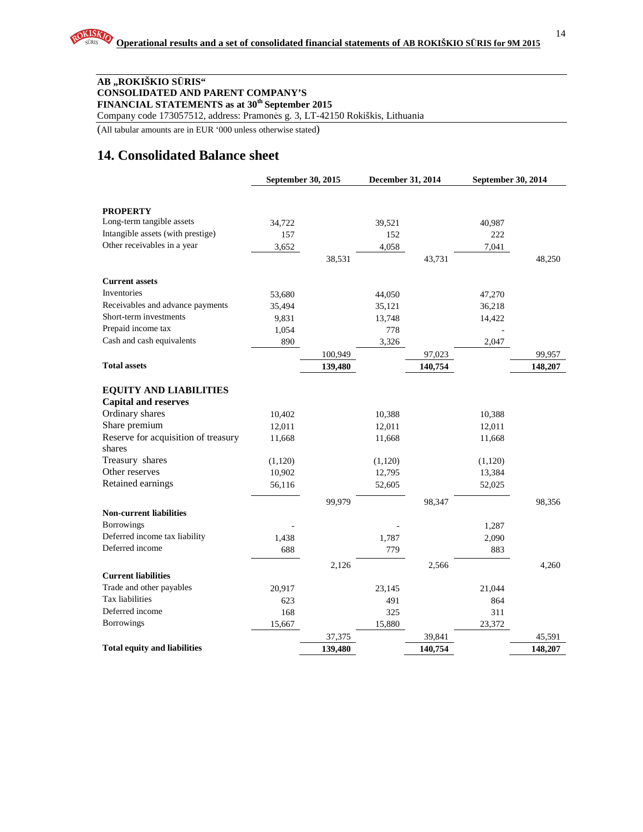#### **AB "ROKIŠKIO S**Ū**RIS" CONSOLIDATED AND PARENT COMPANY'S FINANCIAL STATEMENTS as at 30th September 2015**

Company code 173057512, address: Pramonės g. 3, LT-42150 Rokiškis, Lithuania

(All tabular amounts are in EUR '000 unless otherwise stated)

# **14. Consolidated Balance sheet**

|                                     | September 30, 2015 |         | December 31, 2014 |         | September 30, 2014 |         |
|-------------------------------------|--------------------|---------|-------------------|---------|--------------------|---------|
|                                     |                    |         |                   |         |                    |         |
| <b>PROPERTY</b>                     |                    |         |                   |         |                    |         |
| Long-term tangible assets           | 34,722             |         | 39,521            |         | 40,987             |         |
| Intangible assets (with prestige)   | 157                |         | 152               |         | 222                |         |
| Other receivables in a year         | 3,652              |         | 4,058             |         | 7,041              |         |
|                                     |                    | 38,531  |                   | 43,731  |                    | 48,250  |
| <b>Current assets</b>               |                    |         |                   |         |                    |         |
| Inventories                         | 53,680             |         | 44,050            |         | 47,270             |         |
| Receivables and advance payments    | 35,494             |         | 35,121            |         | 36,218             |         |
| Short-term investments              | 9,831              |         | 13,748            |         | 14,422             |         |
| Prepaid income tax                  | 1,054              |         | 778               |         |                    |         |
| Cash and cash equivalents           | 890                |         | 3,326             |         | 2,047              |         |
|                                     |                    | 100,949 |                   | 97,023  |                    | 99,957  |
| <b>Total assets</b>                 |                    | 139,480 |                   | 140,754 |                    | 148,207 |
|                                     |                    |         |                   |         |                    |         |
| <b>EQUITY AND LIABILITIES</b>       |                    |         |                   |         |                    |         |
| <b>Capital and reserves</b>         |                    |         |                   |         |                    |         |
| Ordinary shares                     | 10,402             |         | 10,388            |         | 10,388             |         |
| Share premium                       | 12,011             |         | 12,011            |         | 12,011             |         |
| Reserve for acquisition of treasury | 11,668             |         | 11,668            |         | 11,668             |         |
| shares                              |                    |         |                   |         |                    |         |
| Treasury shares                     | (1,120)            |         | (1,120)           |         | (1,120)            |         |
| Other reserves                      | 10,902             |         | 12,795            |         | 13,384             |         |
| Retained earnings                   | 56,116             |         | 52,605            |         | 52,025             |         |
|                                     |                    | 99.979  |                   | 98,347  |                    | 98,356  |
| <b>Non-current liabilities</b>      |                    |         |                   |         |                    |         |
| <b>Borrowings</b>                   |                    |         |                   |         | 1,287              |         |
| Deferred income tax liability       | 1,438              |         | 1,787             |         | 2,090              |         |
| Deferred income                     | 688                |         | 779               |         | 883                |         |
|                                     |                    | 2,126   |                   | 2,566   |                    | 4,260   |
| <b>Current liabilities</b>          |                    |         |                   |         |                    |         |
| Trade and other payables            | 20,917             |         | 23,145            |         | 21,044             |         |
| Tax liabilities                     | 623                |         | 491               |         | 864                |         |
| Deferred income                     | 168                |         | 325               |         | 311                |         |
| <b>Borrowings</b>                   | 15,667             |         | 15,880            |         | 23,372             |         |
|                                     |                    | 37,375  |                   | 39,841  |                    | 45,591  |
| <b>Total equity and liabilities</b> |                    | 139,480 |                   | 140,754 |                    | 148,207 |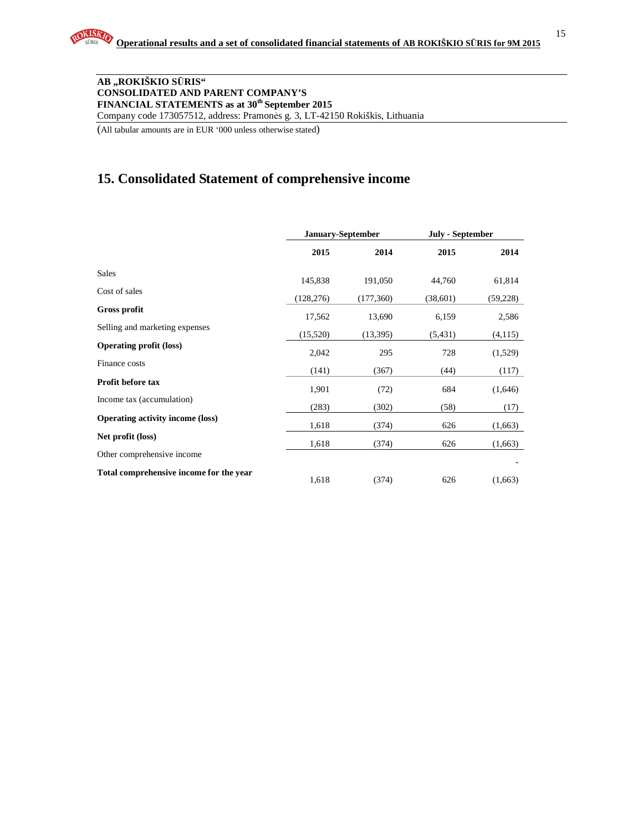15

#### **AB "ROKIŠKIO S**Ū**RIS" CONSOLIDATED AND PARENT COMPANY'S FINANCIAL STATEMENTS as at 30th September 2015**

Company code 173057512, address: Pramonės g. 3, LT-42150 Rokiškis, Lithuania

(All tabular amounts are in EUR '000 unless otherwise stated)

# **15. Consolidated Statement of comprehensive income**

|                                         | January-September |            | <b>July - September</b> |           |
|-----------------------------------------|-------------------|------------|-------------------------|-----------|
|                                         | 2015              | 2014       | 2015                    | 2014      |
| <b>Sales</b>                            | 145,838           | 191,050    | 44,760                  | 61,814    |
| Cost of sales                           | (128, 276)        | (177, 360) | (38,601)                | (59, 228) |
| Gross profit                            | 17,562            | 13,690     | 6,159                   | 2,586     |
| Selling and marketing expenses          | (15,520)          | (13,395)   | (5, 431)                | (4,115)   |
| <b>Operating profit (loss)</b>          | 2,042             | 295        | 728                     | (1,529)   |
| Finance costs                           | (141)             | (367)      | (44)                    | (117)     |
| <b>Profit before tax</b>                | 1,901             | (72)       | 684                     | (1,646)   |
| Income tax (accumulation)               | (283)             | (302)      | (58)                    | (17)      |
| <b>Operating activity income (loss)</b> | 1,618             | (374)      | 626                     | (1,663)   |
| Net profit (loss)                       | 1,618             | (374)      | 626                     | (1,663)   |
| Other comprehensive income              |                   |            |                         |           |
| Total comprehensive income for the year | 1,618             | (374)      | 626                     | (1,663)   |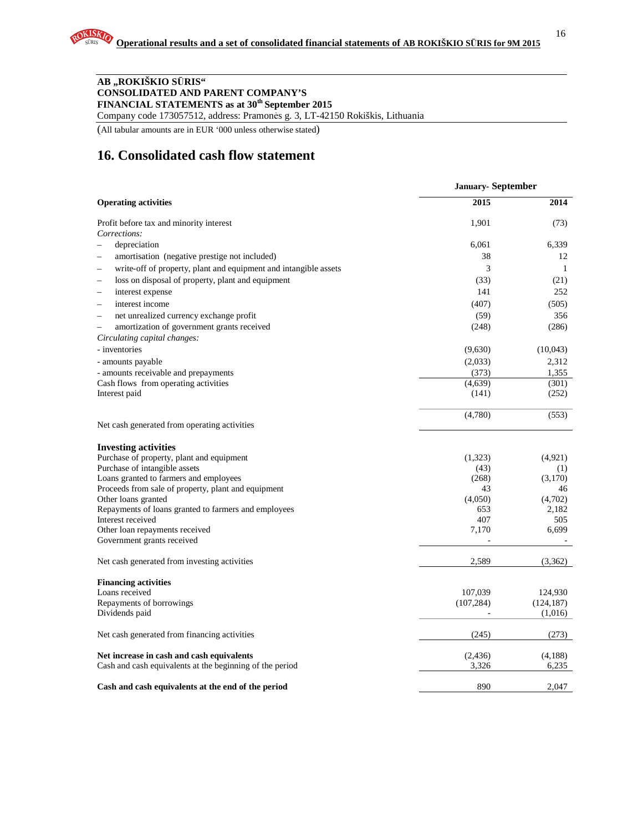#### **AB "ROKIŠKIO S**Ū**RIS" CONSOLIDATED AND PARENT COMPANY'S FINANCIAL STATEMENTS as at 30th September 2015**

Company code 173057512, address: Pramonės g. 3, LT-42150 Rokiškis, Lithuania

(All tabular amounts are in EUR '000 unless otherwise stated)

# **16. Consolidated cash flow statement**

|                                                                                                       | <b>January-September</b> |                  |
|-------------------------------------------------------------------------------------------------------|--------------------------|------------------|
| <b>Operating activities</b>                                                                           | 2015                     | 2014             |
| Profit before tax and minority interest                                                               | 1,901                    | (73)             |
| Corrections:                                                                                          |                          |                  |
| depreciation<br>$\overline{\phantom{0}}$                                                              | 6,061                    | 6,339            |
| amortisation (negative prestige not included)                                                         | 38                       | 12               |
| write-off of property, plant and equipment and intangible assets                                      | 3                        | $\mathbf{1}$     |
| loss on disposal of property, plant and equipment                                                     | (33)                     | (21)             |
| interest expense<br>$\overline{\phantom{0}}$                                                          | 141                      | 252              |
| interest income<br>$\overline{\phantom{0}}$                                                           | (407)                    | (505)            |
| net unrealized currency exchange profit<br>$\overline{\phantom{0}}$                                   | (59)                     | 356              |
| amortization of government grants received<br>$\overline{\phantom{a}}$                                | (248)                    | (286)            |
| Circulating capital changes:                                                                          |                          |                  |
| - inventories                                                                                         | (9,630)                  | (10,043)         |
| - amounts payable                                                                                     | (2,033)                  | 2,312            |
| - amounts receivable and prepayments                                                                  | (373)                    | 1,355            |
| Cash flows from operating activities                                                                  | (4,639)                  | (301)            |
| Interest paid                                                                                         | (141)                    | (252)            |
|                                                                                                       | (4,780)                  | (553)            |
| Net cash generated from operating activities                                                          |                          |                  |
| <b>Investing activities</b>                                                                           |                          |                  |
| Purchase of property, plant and equipment                                                             | (1,323)                  | (4,921)          |
| Purchase of intangible assets                                                                         | (43)                     | (1)              |
| Loans granted to farmers and employees                                                                | (268)                    | (3,170)          |
| Proceeds from sale of property, plant and equipment                                                   | 43                       | 46               |
| Other loans granted                                                                                   | (4,050)                  | (4,702)          |
| Repayments of loans granted to farmers and employees                                                  | 653                      | 2,182            |
| Interest received<br>Other loan repayments received                                                   | 407<br>7,170             | 505<br>6,699     |
| Government grants received                                                                            |                          |                  |
| Net cash generated from investing activities                                                          | 2,589                    | (3,362)          |
| <b>Financing activities</b>                                                                           |                          |                  |
| Loans received                                                                                        | 107,039                  | 124,930          |
| Repayments of borrowings                                                                              | (107, 284)               | (124, 187)       |
| Dividends paid                                                                                        |                          | (1,016)          |
| Net cash generated from financing activities                                                          | (245)                    | (273)            |
| Net increase in cash and cash equivalents<br>Cash and cash equivalents at the beginning of the period | (2,436)<br>3,326         | (4,188)<br>6,235 |
| Cash and cash equivalents at the end of the period                                                    | 890                      | 2.047            |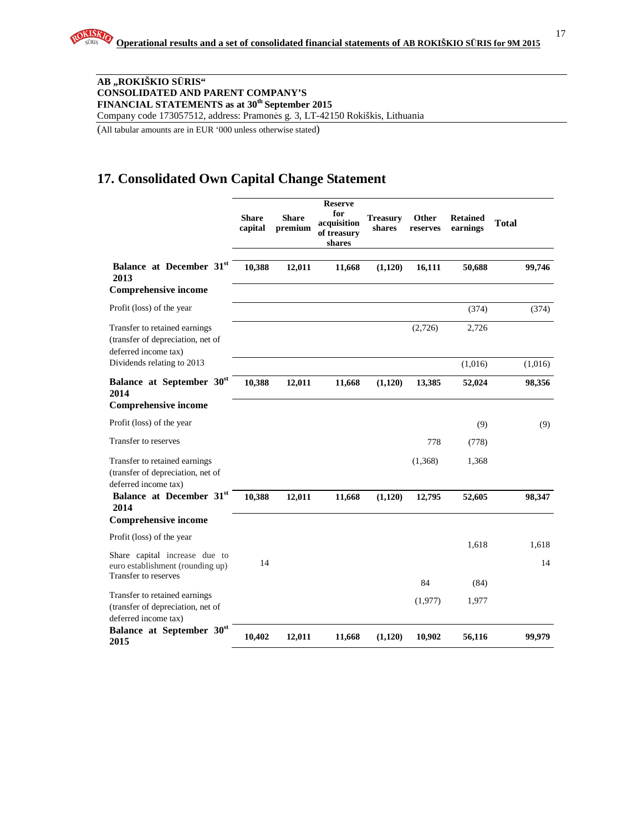17

#### **AB "ROKIŠKIO S**Ū**RIS" CONSOLIDATED AND PARENT COMPANY'S FINANCIAL STATEMENTS as at 30th September 2015**

Company code 173057512, address: Pramonės g. 3, LT-42150 Rokiškis, Lithuania

(All tabular amounts are in EUR '000 unless otherwise stated)

## **17. Consolidated Own Capital Change Statement**

|                                                                                            | <b>Share</b><br>capital | <b>Share</b><br>premium | <b>Reserve</b><br>for<br>acquisition<br>of treasury<br>shares | <b>Treasury</b><br>shares | Other<br>reserves | <b>Retained</b><br>earnings | <b>Total</b> |
|--------------------------------------------------------------------------------------------|-------------------------|-------------------------|---------------------------------------------------------------|---------------------------|-------------------|-----------------------------|--------------|
| Balance at December 31st<br>2013<br><b>Comprehensive income</b>                            | 10,388                  | 12,011                  | 11,668                                                        | (1,120)                   | 16,111            | 50,688                      | 99,746       |
| Profit (loss) of the year                                                                  |                         |                         |                                                               |                           |                   | (374)                       | (374)        |
| Transfer to retained earnings<br>(transfer of depreciation, net of<br>deferred income tax) |                         |                         |                                                               |                           | (2,726)           | 2,726                       |              |
| Dividends relating to 2013                                                                 |                         |                         |                                                               |                           |                   | (1,016)                     | (1,016)      |
| Balance at September 30st<br>2014<br><b>Comprehensive income</b>                           | 10,388                  | 12,011                  | 11,668                                                        | (1,120)                   | 13,385            | 52,024                      | 98,356       |
| Profit (loss) of the year                                                                  |                         |                         |                                                               |                           |                   | (9)                         | (9)          |
| Transfer to reserves                                                                       |                         |                         |                                                               |                           | 778               | (778)                       |              |
| Transfer to retained earnings<br>(transfer of depreciation, net of<br>deferred income tax) |                         |                         |                                                               |                           | (1,368)           | 1,368                       |              |
| Balance at December 31st<br>2014                                                           | 10,388                  | 12,011                  | 11,668                                                        | (1,120)                   | 12,795            | 52,605                      | 98,347       |
| <b>Comprehensive income</b>                                                                |                         |                         |                                                               |                           |                   |                             |              |
| Profit (loss) of the year                                                                  |                         |                         |                                                               |                           |                   | 1,618                       | 1,618        |
| Share capital increase due to<br>euro establishment (rounding up)<br>Transfer to reserves  | 14                      |                         |                                                               |                           |                   |                             | 14           |
|                                                                                            |                         |                         |                                                               |                           | 84                | (84)                        |              |
| Transfer to retained earnings<br>(transfer of depreciation, net of<br>deferred income tax) |                         |                         |                                                               |                           | (1,977)           | 1,977                       |              |
| Balance at September 30 <sup>st</sup><br>2015                                              | 10,402                  | 12,011                  | 11,668                                                        | (1,120)                   | 10,902            | 56,116                      | 99,979       |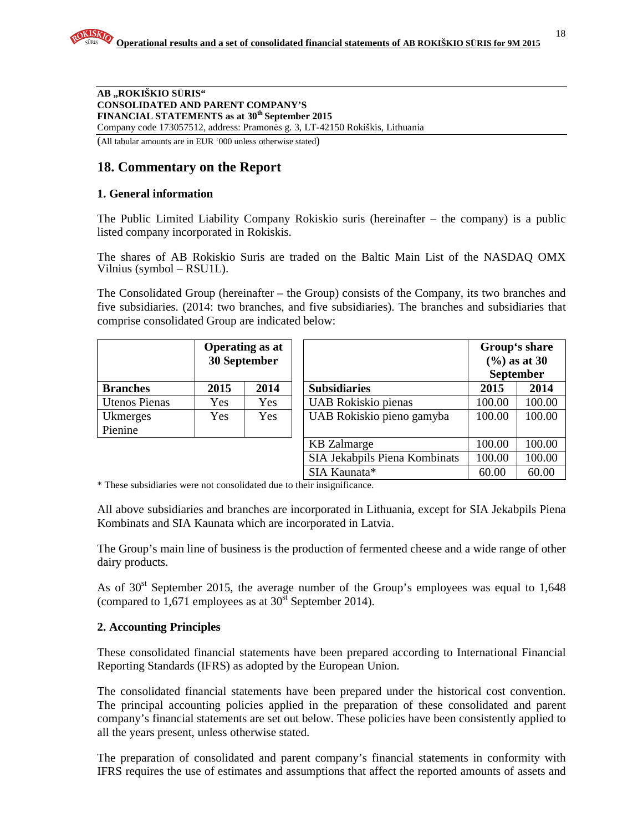(All tabular amounts are in EUR '000 unless otherwise stated)

# **18. Commentary on the Report**

#### **1. General information**

The Public Limited Liability Company Rokiskio suris (hereinafter – the company) is a public listed company incorporated in Rokiskis.

The shares of AB Rokiskio Suris are traded on the Baltic Main List of the NASDAQ OMX Vilnius (symbol – RSU1L).

The Consolidated Group (hereinafter – the Group) consists of the Company, its two branches and five subsidiaries. (2014: two branches, and five subsidiaries). The branches and subsidiaries that comprise consolidated Group are indicated below:

|                      | 30 September | <b>Operating as at</b> |                               | Group's share<br>$(%)$ as at 30<br><b>September</b> |        |
|----------------------|--------------|------------------------|-------------------------------|-----------------------------------------------------|--------|
| <b>Branches</b>      | 2015         | 2014                   | <b>Subsidiaries</b>           | 2015                                                | 2014   |
| <b>Utenos Pienas</b> | Yes          | <b>Yes</b>             | UAB Rokiskio pienas           | 100.00                                              | 100.00 |
| Ukmerges             | <b>Yes</b>   | Yes.                   | UAB Rokiskio pieno gamyba     | 100.00                                              | 100.00 |
| Pienine              |              |                        |                               |                                                     |        |
|                      |              |                        | <b>KB</b> Zalmarge            | 100.00                                              | 100.00 |
|                      |              |                        | SIA Jekabpils Piena Kombinats | 100.00                                              | 100.00 |
|                      |              |                        | SIA Kaunata*                  | 60.00                                               | 60.00  |

\* These subsidiaries were not consolidated due to their insignificance.

All above subsidiaries and branches are incorporated in Lithuania, except for SIA Jekabpils Piena Kombinats and SIA Kaunata which are incorporated in Latvia.

The Group's main line of business is the production of fermented cheese and a wide range of other dairy products.

As of  $30<sup>st</sup>$  September 2015, the average number of the Group's employees was equal to 1,648 (compared to  $1,671$  employees as at  $30<sup>st</sup>$  September 2014).

## **2. Accounting Principles**

These consolidated financial statements have been prepared according to International Financial Reporting Standards (IFRS) as adopted by the European Union.

The consolidated financial statements have been prepared under the historical cost convention. The principal accounting policies applied in the preparation of these consolidated and parent company's financial statements are set out below. These policies have been consistently applied to all the years present, unless otherwise stated.

The preparation of consolidated and parent company's financial statements in conformity with IFRS requires the use of estimates and assumptions that affect the reported amounts of assets and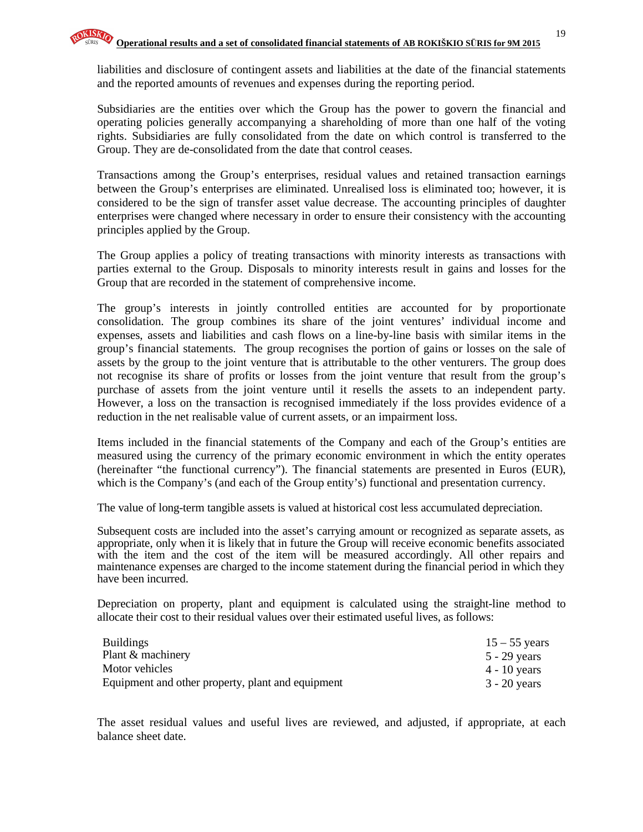liabilities and disclosure of contingent assets and liabilities at the date of the financial statements and the reported amounts of revenues and expenses during the reporting period.

Subsidiaries are the entities over which the Group has the power to govern the financial and operating policies generally accompanying a shareholding of more than one half of the voting rights. Subsidiaries are fully consolidated from the date on which control is transferred to the Group. They are de-consolidated from the date that control ceases.

Transactions among the Group's enterprises, residual values and retained transaction earnings between the Group's enterprises are eliminated. Unrealised loss is eliminated too; however, it is considered to be the sign of transfer asset value decrease. The accounting principles of daughter enterprises were changed where necessary in order to ensure their consistency with the accounting principles applied by the Group.

The Group applies a policy of treating transactions with minority interests as transactions with parties external to the Group. Disposals to minority interests result in gains and losses for the Group that are recorded in the statement of comprehensive income.

The group's interests in jointly controlled entities are accounted for by proportionate consolidation. The group combines its share of the joint ventures' individual income and expenses, assets and liabilities and cash flows on a line-by-line basis with similar items in the group's financial statements. The group recognises the portion of gains or losses on the sale of assets by the group to the joint venture that is attributable to the other venturers. The group does not recognise its share of profits or losses from the joint venture that result from the group's purchase of assets from the joint venture until it resells the assets to an independent party. However, a loss on the transaction is recognised immediately if the loss provides evidence of a reduction in the net realisable value of current assets, or an impairment loss.

Items included in the financial statements of the Company and each of the Group's entities are measured using the currency of the primary economic environment in which the entity operates (hereinafter "the functional currency"). The financial statements are presented in Euros (EUR), which is the Company's (and each of the Group entity's) functional and presentation currency.

The value of long-term tangible assets is valued at historical cost less accumulated depreciation.

Subsequent costs are included into the asset's carrying amount or recognized as separate assets, as appropriate, only when it is likely that in future the Group will receive economic benefits associated with the item and the cost of the item will be measured accordingly. All other repairs and maintenance expenses are charged to the income statement during the financial period in which they have been incurred.

Depreciation on property, plant and equipment is calculated using the straight-line method to allocate their cost to their residual values over their estimated useful lives, as follows:

| <b>Buildings</b>                                  | $15 - 55$ years |
|---------------------------------------------------|-----------------|
| Plant & machinery                                 | 5 - 29 years    |
| Motor vehicles                                    | $4 - 10$ years  |
| Equipment and other property, plant and equipment | 3 - 20 years    |

The asset residual values and useful lives are reviewed, and adjusted, if appropriate, at each balance sheet date.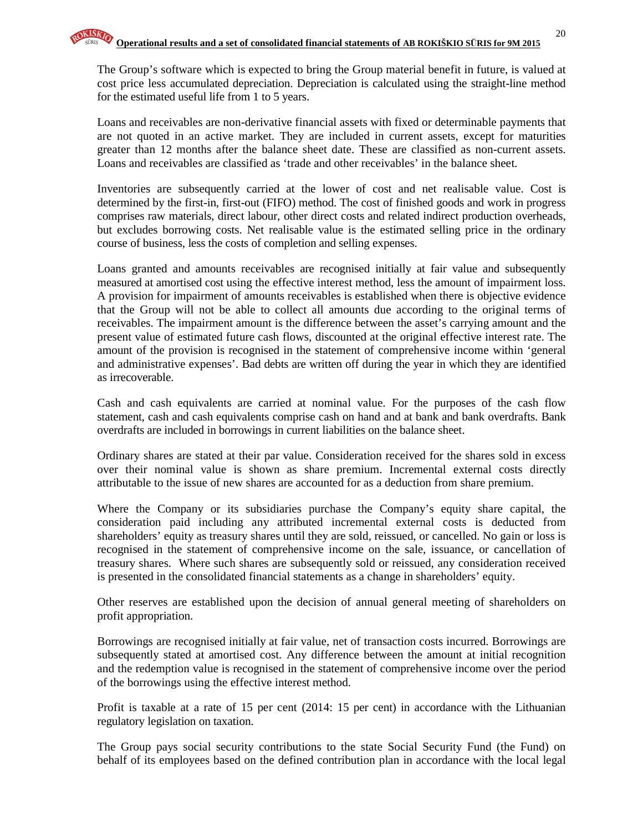The Group's software which is expected to bring the Group material benefit in future, is valued at cost price less accumulated depreciation. Depreciation is calculated using the straight-line method for the estimated useful life from 1 to 5 years.

Loans and receivables are non-derivative financial assets with fixed or determinable payments that are not quoted in an active market. They are included in current assets, except for maturities greater than 12 months after the balance sheet date. These are classified as non-current assets. Loans and receivables are classified as 'trade and other receivables' in the balance sheet.

Inventories are subsequently carried at the lower of cost and net realisable value. Cost is determined by the first-in, first-out (FIFO) method. The cost of finished goods and work in progress comprises raw materials, direct labour, other direct costs and related indirect production overheads, but excludes borrowing costs. Net realisable value is the estimated selling price in the ordinary course of business, less the costs of completion and selling expenses.

Loans granted and amounts receivables are recognised initially at fair value and subsequently measured at amortised cost using the effective interest method, less the amount of impairment loss. A provision for impairment of amounts receivables is established when there is objective evidence that the Group will not be able to collect all amounts due according to the original terms of receivables. The impairment amount is the difference between the asset's carrying amount and the present value of estimated future cash flows, discounted at the original effective interest rate. The amount of the provision is recognised in the statement of comprehensive income within 'general and administrative expenses'. Bad debts are written off during the year in which they are identified as irrecoverable.

Cash and cash equivalents are carried at nominal value. For the purposes of the cash flow statement, cash and cash equivalents comprise cash on hand and at bank and bank overdrafts. Bank overdrafts are included in borrowings in current liabilities on the balance sheet.

Ordinary shares are stated at their par value. Consideration received for the shares sold in excess over their nominal value is shown as share premium. Incremental external costs directly attributable to the issue of new shares are accounted for as a deduction from share premium.

Where the Company or its subsidiaries purchase the Company's equity share capital, the consideration paid including any attributed incremental external costs is deducted from shareholders' equity as treasury shares until they are sold, reissued, or cancelled. No gain or loss is recognised in the statement of comprehensive income on the sale, issuance, or cancellation of treasury shares. Where such shares are subsequently sold or reissued, any consideration received is presented in the consolidated financial statements as a change in shareholders' equity.

Other reserves are established upon the decision of annual general meeting of shareholders on profit appropriation.

Borrowings are recognised initially at fair value, net of transaction costs incurred. Borrowings are subsequently stated at amortised cost. Any difference between the amount at initial recognition and the redemption value is recognised in the statement of comprehensive income over the period of the borrowings using the effective interest method.

Profit is taxable at a rate of 15 per cent (2014: 15 per cent) in accordance with the Lithuanian regulatory legislation on taxation.

The Group pays social security contributions to the state Social Security Fund (the Fund) on behalf of its employees based on the defined contribution plan in accordance with the local legal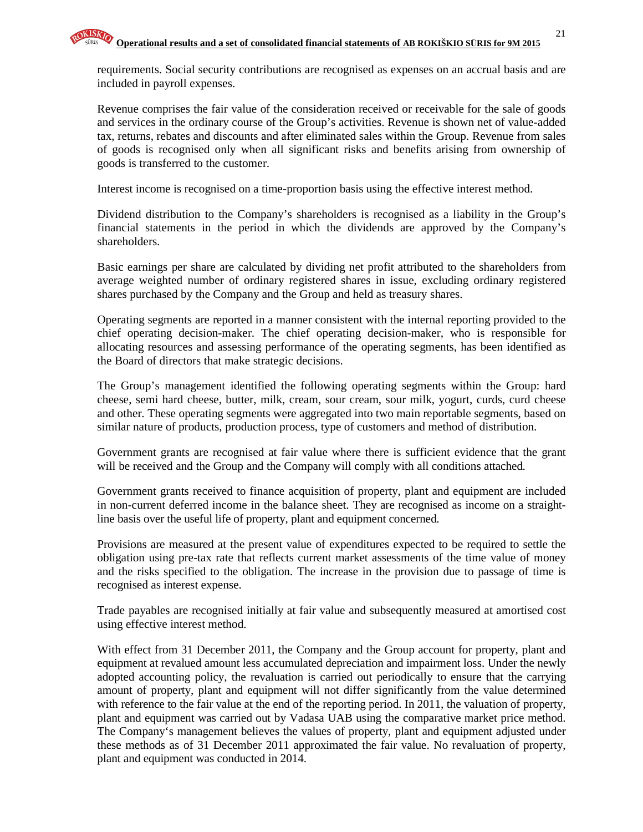Revenue comprises the fair value of the consideration received or receivable for the sale of goods and services in the ordinary course of the Group's activities. Revenue is shown net of value-added tax, returns, rebates and discounts and after eliminated sales within the Group. Revenue from sales of goods is recognised only when all significant risks and benefits arising from ownership of goods is transferred to the customer.

Interest income is recognised on a time-proportion basis using the effective interest method.

Dividend distribution to the Company's shareholders is recognised as a liability in the Group's financial statements in the period in which the dividends are approved by the Company's shareholders.

Basic earnings per share are calculated by dividing net profit attributed to the shareholders from average weighted number of ordinary registered shares in issue, excluding ordinary registered shares purchased by the Company and the Group and held as treasury shares.

Operating segments are reported in a manner consistent with the internal reporting provided to the chief operating decision-maker. The chief operating decision-maker, who is responsible for allocating resources and assessing performance of the operating segments, has been identified as the Board of directors that make strategic decisions.

The Group's management identified the following operating segments within the Group: hard cheese, semi hard cheese, butter, milk, cream, sour cream, sour milk, yogurt, curds, curd cheese and other. These operating segments were aggregated into two main reportable segments, based on similar nature of products, production process, type of customers and method of distribution.

Government grants are recognised at fair value where there is sufficient evidence that the grant will be received and the Group and the Company will comply with all conditions attached.

Government grants received to finance acquisition of property, plant and equipment are included in non-current deferred income in the balance sheet. They are recognised as income on a straightline basis over the useful life of property, plant and equipment concerned.

Provisions are measured at the present value of expenditures expected to be required to settle the obligation using pre-tax rate that reflects current market assessments of the time value of money and the risks specified to the obligation. The increase in the provision due to passage of time is recognised as interest expense.

Trade payables are recognised initially at fair value and subsequently measured at amortised cost using effective interest method.

With effect from 31 December 2011, the Company and the Group account for property, plant and equipment at revalued amount less accumulated depreciation and impairment loss. Under the newly adopted accounting policy, the revaluation is carried out periodically to ensure that the carrying amount of property, plant and equipment will not differ significantly from the value determined with reference to the fair value at the end of the reporting period. In 2011, the valuation of property, plant and equipment was carried out by Vadasa UAB using the comparative market price method. The Company's management believes the values of property, plant and equipment adjusted under these methods as of 31 December 2011 approximated the fair value. No revaluation of property, plant and equipment was conducted in 2014.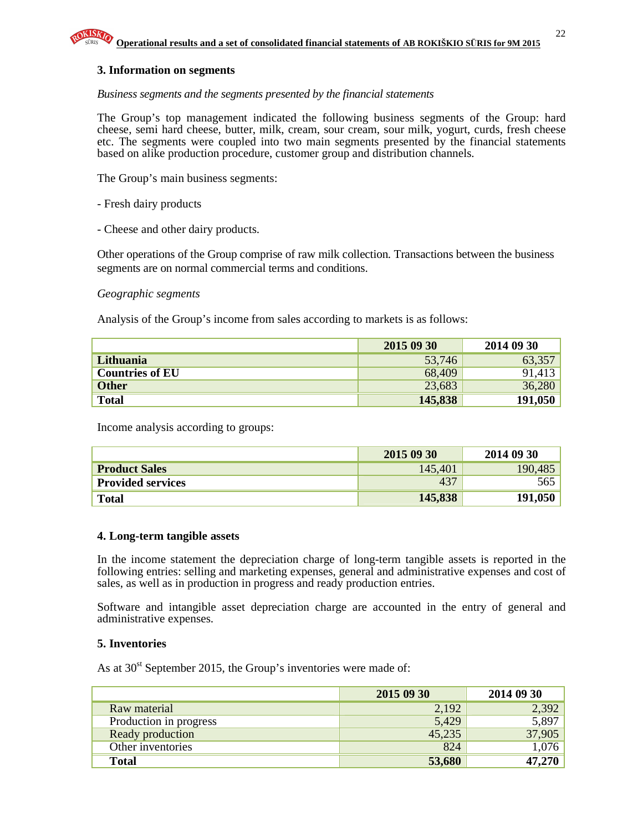#### **3. Information on segments**

#### *Business segments and the segments presented by the financial statements*

The Group's top management indicated the following business segments of the Group: hard cheese, semi hard cheese, butter, milk, cream, sour cream, sour milk, yogurt, curds, fresh cheese etc. The segments were coupled into two main segments presented by the financial statements based on alike production procedure, customer group and distribution channels.

The Group's main business segments:

- Fresh dairy products
- Cheese and other dairy products.

Other operations of the Group comprise of raw milk collection. Transactions between the business segments are on normal commercial terms and conditions.

#### *Geographic segments*

Analysis of the Group's income from sales according to markets is as follows:

|                        | 2015 09 30 | 2014 09 30 |
|------------------------|------------|------------|
| Lithuania              | 53,746     | 63,357     |
| <b>Countries of EU</b> | 68,409     | 91,413     |
| <b>Other</b>           | 23,683     | 36,280     |
| <b>Total</b>           | 145,838    | 191,050    |

Income analysis according to groups:

|                          | 2015 09 30 | 2014 09 30 |
|--------------------------|------------|------------|
| <b>Product Sales</b>     | 145,401    | 190,485    |
| <b>Provided services</b> | 437        | 565        |
| <b>Total</b>             | 145,838    | 191,050    |

#### **4. Long-term tangible assets**

In the income statement the depreciation charge of long-term tangible assets is reported in the following entries: selling and marketing expenses, general and administrative expenses and cost of sales, as well as in production in progress and ready production entries.

Software and intangible asset depreciation charge are accounted in the entry of general and administrative expenses.

#### **5. Inventories**

As at  $30<sup>st</sup>$  September 2015, the Group's inventories were made of:

|                        | 2015 09 30 | 2014 09 30 |
|------------------------|------------|------------|
| Raw material           | 2,192      | 2,392      |
| Production in progress | 5,429      | 5,897      |
| Ready production       | 45,235     | 37,905     |
| Other inventories      | 824        | 1,076      |
| <b>Total</b>           | 53,680     | 47,270     |